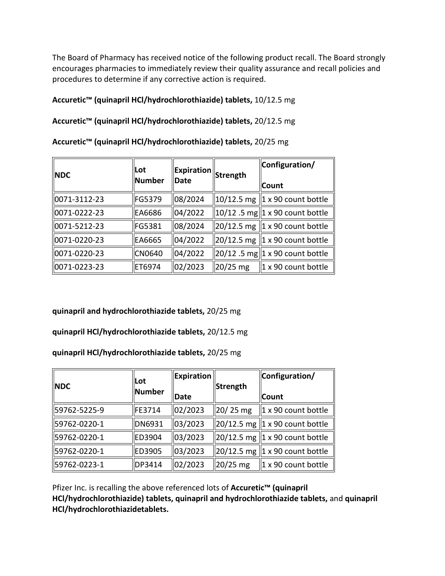The Board of Pharmacy has received notice of the following product recall. The Board strongly encourages pharmacies to immediately review their quality assurance and recall policies and procedures to determine if any corrective action is required.

**Accuretic™ (quinapril HCl/hydrochlorothiazide) tablets,** 10/12.5 mg

**Accuretic™ (quinapril HCl/hydrochlorothiazide) tablets,** 20/12.5 mg

| <b>NDC</b>               | <b>ILot</b><br>Number | $\ $ Expiration $\ $ Strength<br>Date |             | Configuration/<br><b>  Count</b>                         |
|--------------------------|-----------------------|---------------------------------------|-------------|----------------------------------------------------------|
|                          |                       |                                       |             |                                                          |
| $\parallel$ 0071-3112-23 | FG5379                | 08/2024                               |             | $\parallel$ 10/12.5 mg $\parallel$ 1 x 90 count bottle   |
| 0071-0222-23             | EA6686                | 04/2022                               |             | $\ 10/12\ .5\ \text{mg}\ 1 \times 90$ count bottle       |
| $\parallel$ 0071-5212-23 | FG5381                | 08/2024                               |             | $\parallel$ 20/12.5 mg $\parallel$ 1 x 90 count bottle   |
| 0071-0220-23             | EA6665                | 04/2022                               |             | $\ 20/12.5 \text{ mg}\ 1 \times 90 \text{ count bottle}$ |
| 0071-0220-23             | <b>CN0640</b>         | 04/2022                               |             | $\ 20/12\ .5\text{ mg}\ 1 \times 90\text{ count bottle}$ |
| 0071-0223-23             | ET6974                | 02/2023                               | $ 20/25$ mg | $\parallel$ 1 x 90 count bottle                          |

**Accuretic™ (quinapril HCl/hydrochlorothiazide) tablets,** 20/25 mg

**quinapril and hydrochlorothiazide tablets,** 20/25 mg

**quinapril HCl/hydrochlorothiazide tablets,** 20/12.5 mg

**quinapril HCl/hydrochlorothiazide tablets,** 20/25 mg

| <b>NDC</b>   | Lot<br><b>Number</b> | Expiration<br><b>IDate</b> | Strength               | Configuration/<br><b>Count</b>              |
|--------------|----------------------|----------------------------|------------------------|---------------------------------------------|
| 59762-5225-9 | FE3714               | 02/2023                    | $\ 20/25 \text{ mg}\ $ | $\parallel$ 1 x 90 count bottle             |
| 59762-0220-1 | <b>DN6931</b>        | 03/2023                    |                        | $\ 20/12.5$ mg $\ 1 \times 90$ count bottle |
| 59762-0220-1 | ED3904               | 03/2023                    |                        | $\ $ 20/12.5 mg $\ $ 1 x 90 count bottle    |
| 59762-0220-1 | ED3905               | 03/2023                    |                        | $\ $ 20/12.5 mg $\ $ 1 x 90 count bottle    |
| 59762-0223-1 | DP3414               | 02/2023                    | 20/25 mg               | $\vert$ 1 x 90 count bottle                 |

Pfizer Inc. is recalling the above referenced lots of **Accuretic™ (quinapril HCl/hydrochlorothiazide) tablets, quinapril and hydrochlorothiazide tablets,** and **quinapril HCl/hydrochlorothiazidetablets.**